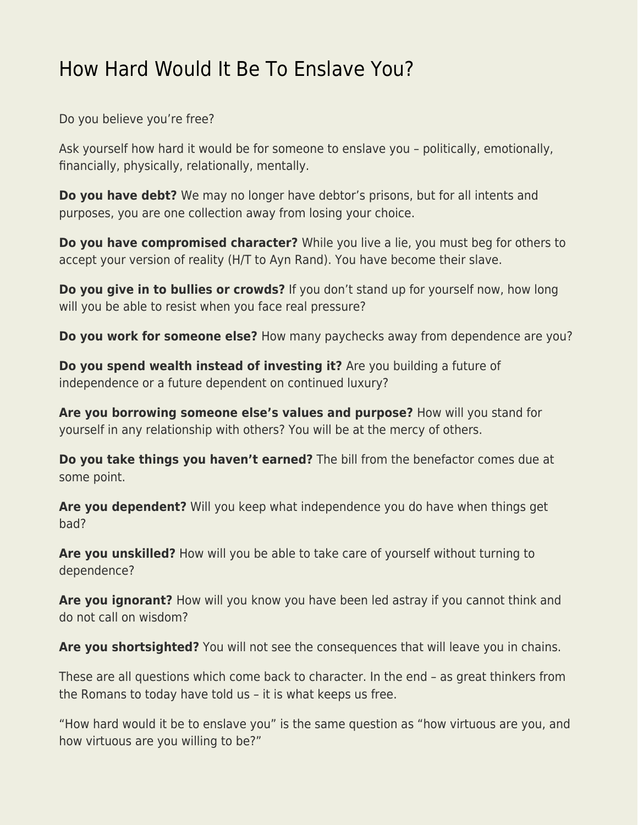## [How Hard Would It Be To Enslave You?](https://everything-voluntary.com/how-hard-would-it-be-to-enslave-you)

Do you believe you're free?

Ask yourself how hard it would be for someone to enslave you – politically, emotionally, financially, physically, relationally, mentally.

**Do you have debt?** We may no longer have debtor's prisons, but for all intents and purposes, you are one collection away from losing your choice.

**Do you have compromised character?** While you live a lie, you must beg for others to accept your version of reality (H/T to Ayn Rand). You have become their slave.

**Do you give in to bullies or crowds?** If you don't stand up for yourself now, how long will you be able to resist when you face real pressure?

**Do you work for someone else?** How many paychecks away from dependence are you?

**Do you spend wealth instead of investing it?** Are you building a future of independence or a future dependent on continued luxury?

**Are you borrowing someone else's values and purpose?** How will you stand for yourself in any relationship with others? You will be at the mercy of others.

**Do you take things you haven't earned?** The bill from the benefactor comes due at some point.

**Are you dependent?** Will you keep what independence you do have when things get bad?

**Are you unskilled?** How will you be able to take care of yourself without turning to dependence?

**Are you ignorant?** How will you know you have been led astray if you cannot think and do not call on wisdom?

Are you shortsighted? You will not see the consequences that will leave you in chains.

These are all questions which come back to character. In the end – as great thinkers from the Romans to today have told us – it is what keeps us free.

"How hard would it be to enslave you" is the same question as "how virtuous are you, and how virtuous are you willing to be?"